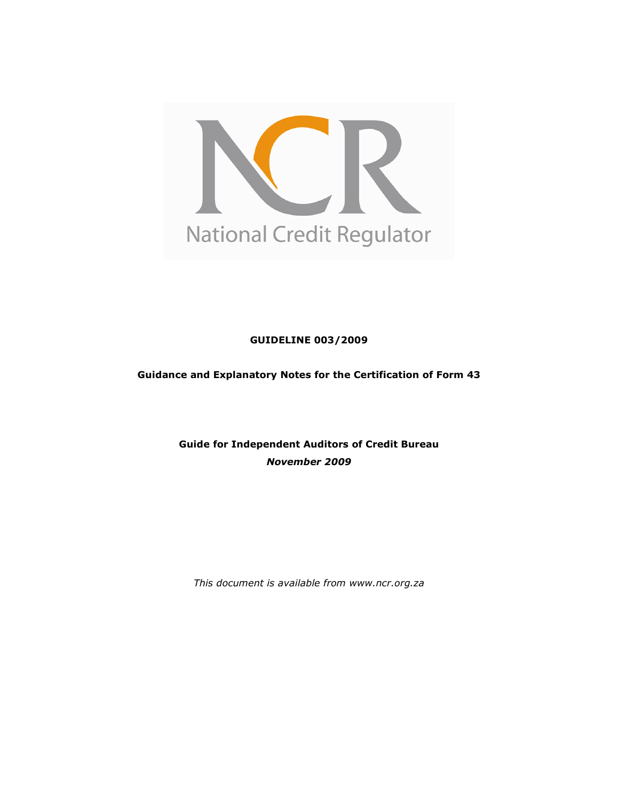

GUIDELINE 003/2009

Guidance and Explanatory Notes for the Certification of Form 43

Guide for Independent Auditors of Credit Bureau November 2009

This document is available from www.ncr.org.za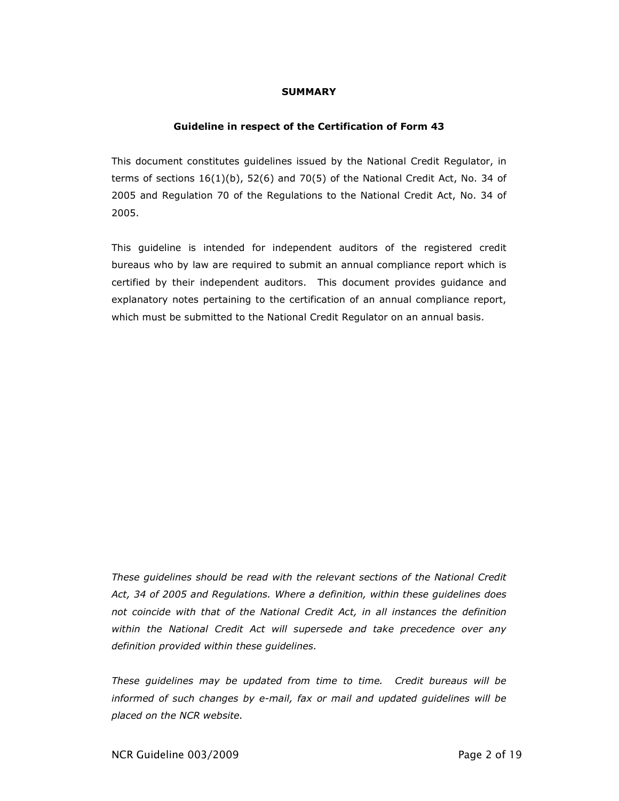#### SUMMARY

#### Guideline in respect of the Certification of Form 43

This document constitutes guidelines issued by the National Credit Regulator, in terms of sections  $16(1)(b)$ , 52(6) and 70(5) of the National Credit Act, No. 34 of 2005 and Regulation 70 of the Regulations to the National Credit Act, No. 34 of 2005.

This guideline is intended for independent auditors of the registered credit bureaus who by law are required to submit an annual compliance report which is certified by their independent auditors. This document provides guidance and explanatory notes pertaining to the certification of an annual compliance report, which must be submitted to the National Credit Regulator on an annual basis.

These guidelines should be read with the relevant sections of the National Credit Act, 34 of 2005 and Regulations. Where a definition, within these guidelines does not coincide with that of the National Credit Act, in all instances the definition within the National Credit Act will supersede and take precedence over any definition provided within these guidelines.

These guidelines may be updated from time to time. Credit bureaus will be informed of such changes by e-mail, fax or mail and updated guidelines will be placed on the NCR website.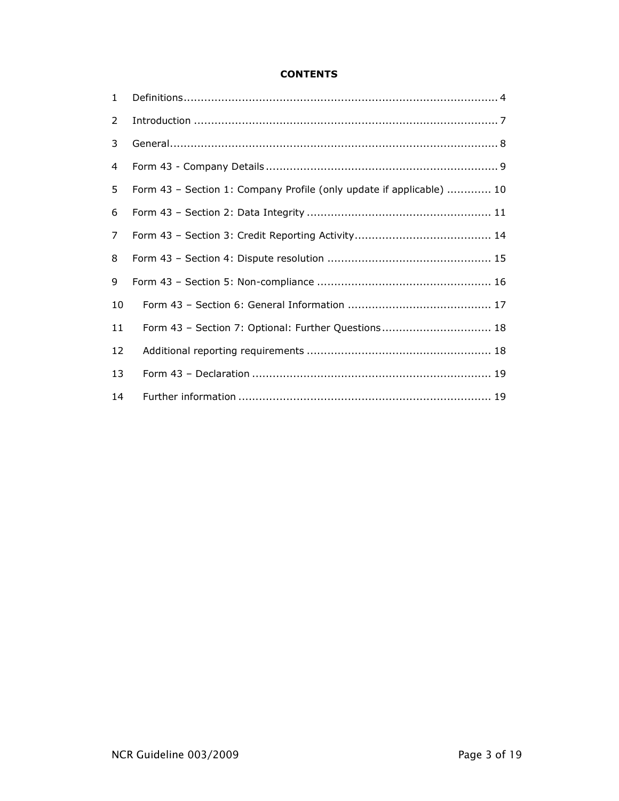#### **CONTENTS**

| $\mathbf{1}$ |                                                                      |
|--------------|----------------------------------------------------------------------|
| 2            |                                                                      |
| 3            |                                                                      |
| 4            |                                                                      |
| 5            | Form 43 - Section 1: Company Profile (only update if applicable)  10 |
| 6            |                                                                      |
| 7            |                                                                      |
| 8            |                                                                      |
| 9            |                                                                      |
| 10           |                                                                      |
| 11           | Form 43 - Section 7: Optional: Further Questions 18                  |
| 12           |                                                                      |
| 13           |                                                                      |
| 14           |                                                                      |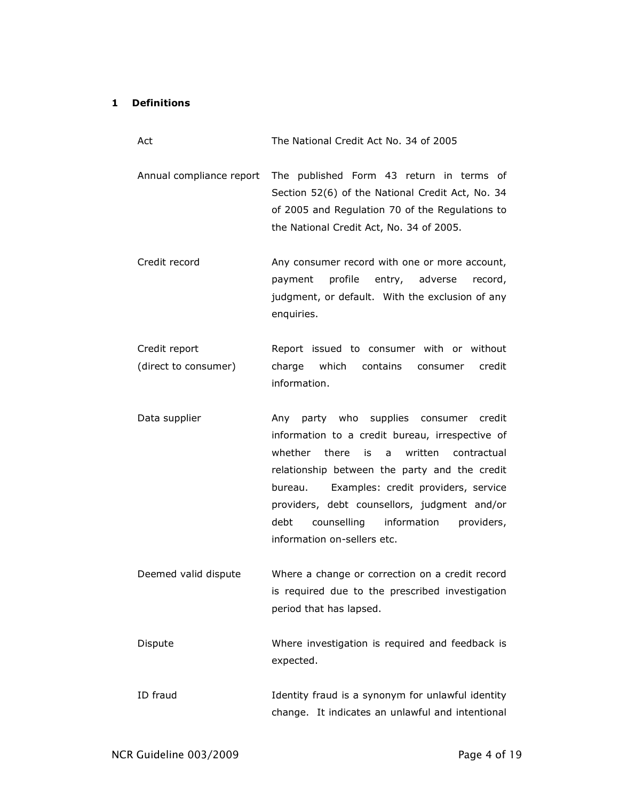## 1 Definitions

| Act                                   | The National Credit Act No. 34 of 2005                                                                                                                                                                                                                                                                                                                                                   |
|---------------------------------------|------------------------------------------------------------------------------------------------------------------------------------------------------------------------------------------------------------------------------------------------------------------------------------------------------------------------------------------------------------------------------------------|
| Annual compliance report              | The published Form 43 return in terms of<br>Section 52(6) of the National Credit Act, No. 34<br>of 2005 and Regulation 70 of the Regulations to<br>the National Credit Act, No. 34 of 2005.                                                                                                                                                                                              |
| Credit record                         | Any consumer record with one or more account,<br>profile<br>entry,<br>adverse<br>payment<br>record,<br>judgment, or default. With the exclusion of any<br>enquiries.                                                                                                                                                                                                                     |
| Credit report<br>(direct to consumer) | Report issued to consumer with or without<br>which<br>charge<br>contains<br>credit<br>consumer<br>information.                                                                                                                                                                                                                                                                           |
| Data supplier                         | Any party who supplies consumer credit<br>information to a credit bureau, irrespective of<br>whether<br>there<br>written<br>contractual<br>is<br>a<br>relationship between the party and the credit<br>Examples: credit providers, service<br>bureau.<br>providers, debt counsellors, judgment and/or<br>debt<br>counselling<br>information<br>providers,<br>information on-sellers etc. |
| Deemed valid dispute                  | Where a change or correction on a credit record<br>is required due to the prescribed investigation<br>period that has lapsed.                                                                                                                                                                                                                                                            |
| Dispute                               | Where investigation is required and feedback is<br>expected.                                                                                                                                                                                                                                                                                                                             |
| ID fraud                              | Identity fraud is a synonym for unlawful identity<br>change. It indicates an unlawful and intentional                                                                                                                                                                                                                                                                                    |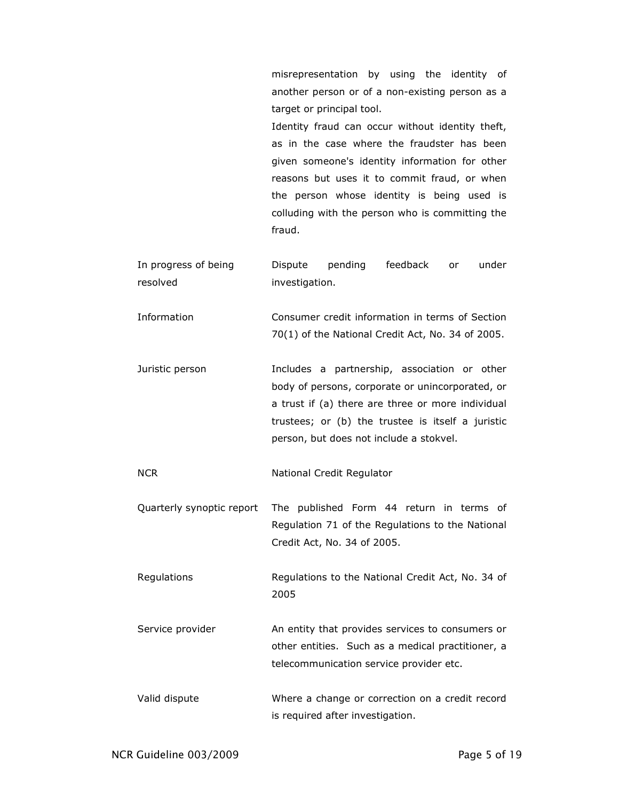misrepresentation by using the identity of another person or of a non-existing person as a target or principal tool. Identity fraud can occur without identity theft, as in the case where the fraudster has been given someone's identity information for other reasons but uses it to commit fraud, or when the person whose identity is being used is colluding with the person who is committing the

In progress of being resolved Dispute pending feedback or under investigation.

fraud.

- Information Consumer credit information in terms of Section 70(1) of the National Credit Act, No. 34 of 2005.
- Juristic person Includes a partnership, association or other body of persons, corporate or unincorporated, or a trust if (a) there are three or more individual trustees; or (b) the trustee is itself a juristic person, but does not include a stokvel.
- NCR National Credit Regulator
- Quarterly synoptic report The published Form 44 return in terms of Regulation 71 of the Regulations to the National Credit Act, No. 34 of 2005.

Regulations Regulations to the National Credit Act, No. 34 of 2005

Service provider **An entity that provides services to consumers or** other entities. Such as a medical practitioner, a telecommunication service provider etc.

Valid dispute Where a change or correction on a credit record is required after investigation.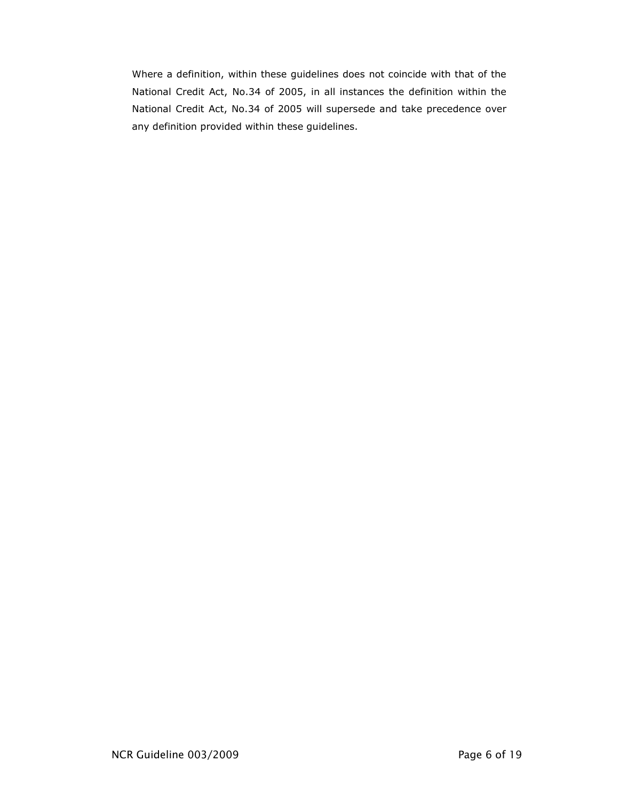Where a definition, within these guidelines does not coincide with that of the National Credit Act, No.34 of 2005, in all instances the definition within the National Credit Act, No.34 of 2005 will supersede and take precedence over any definition provided within these guidelines.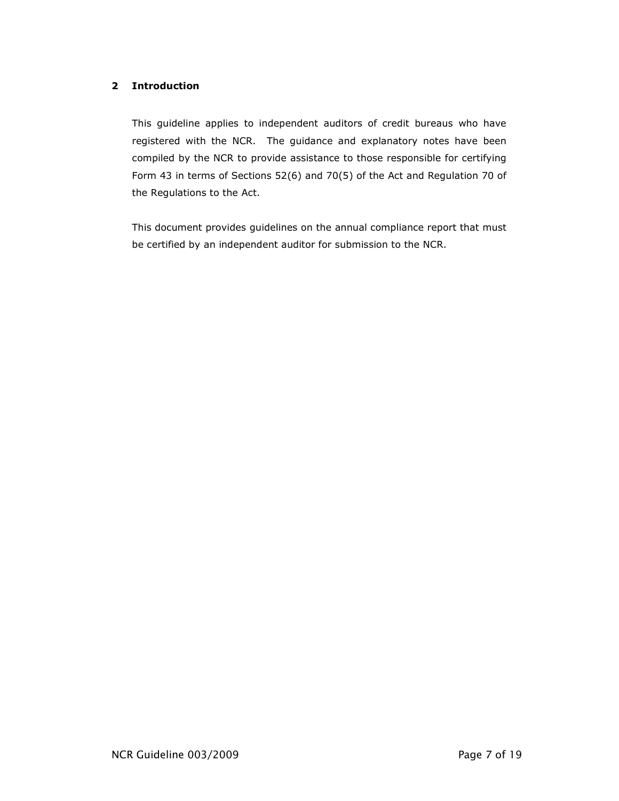### 2 Introduction

This guideline applies to independent auditors of credit bureaus who have registered with the NCR. The guidance and explanatory notes have been compiled by the NCR to provide assistance to those responsible for certifying Form 43 in terms of Sections 52(6) and 70(5) of the Act and Regulation 70 of the Regulations to the Act.

This document provides guidelines on the annual compliance report that must be certified by an independent auditor for submission to the NCR.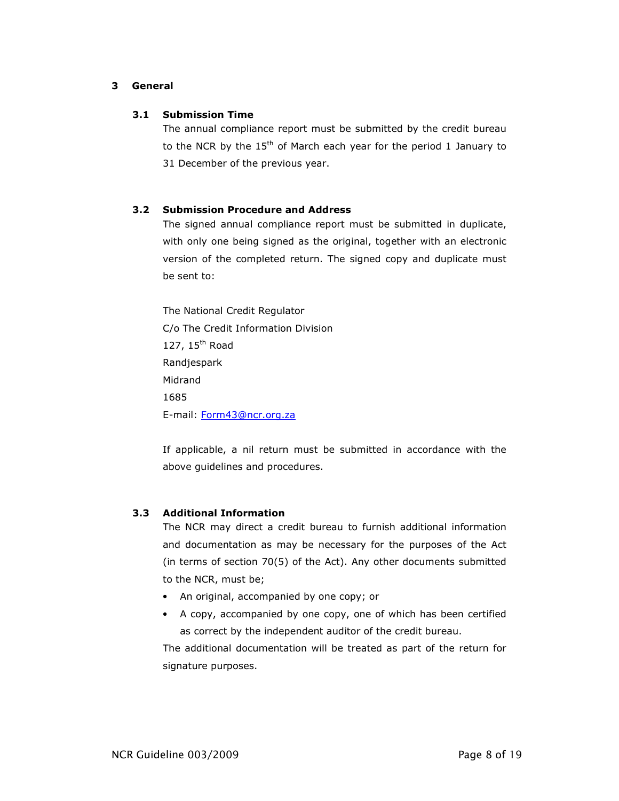#### 3 General

#### 3.1 Submission Time

The annual compliance report must be submitted by the credit bureau to the NCR by the  $15<sup>th</sup>$  of March each year for the period 1 January to 31 December of the previous year.

### 3.2 Submission Procedure and Address

The signed annual compliance report must be submitted in duplicate, with only one being signed as the original, together with an electronic version of the completed return. The signed copy and duplicate must be sent to:

The National Credit Regulator C/o The Credit Information Division 127, 15<sup>th</sup> Road Randjespark Midrand 1685 E-mail: Form43@ncr.org.za

If applicable, a nil return must be submitted in accordance with the above guidelines and procedures.

#### 3.3 Additional Information

The NCR may direct a credit bureau to furnish additional information and documentation as may be necessary for the purposes of the Act (in terms of section 70(5) of the Act). Any other documents submitted to the NCR, must be;

- An original, accompanied by one copy; or
- A copy, accompanied by one copy, one of which has been certified as correct by the independent auditor of the credit bureau.

The additional documentation will be treated as part of the return for signature purposes.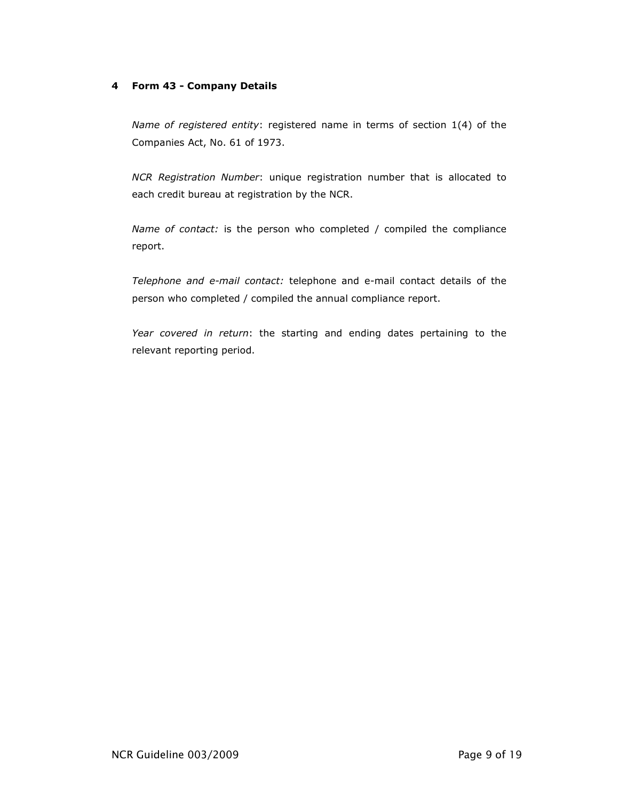#### 4 Form 43 - Company Details

Name of registered entity: registered name in terms of section 1(4) of the Companies Act, No. 61 of 1973.

NCR Registration Number: unique registration number that is allocated to each credit bureau at registration by the NCR.

Name of contact: is the person who completed / compiled the compliance report.

Telephone and e-mail contact: telephone and e-mail contact details of the person who completed / compiled the annual compliance report.

Year covered in return: the starting and ending dates pertaining to the relevant reporting period.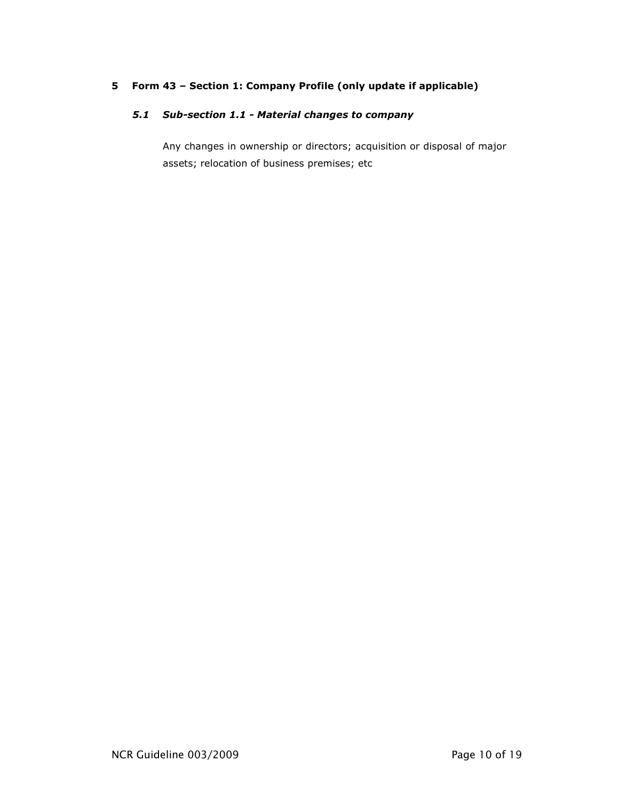### 5 Form 43 – Section 1: Company Profile (only update if applicable)

## 5.1 Sub-section 1.1 - Material changes to company

Any changes in ownership or directors; acquisition or disposal of major assets; relocation of business premises; etc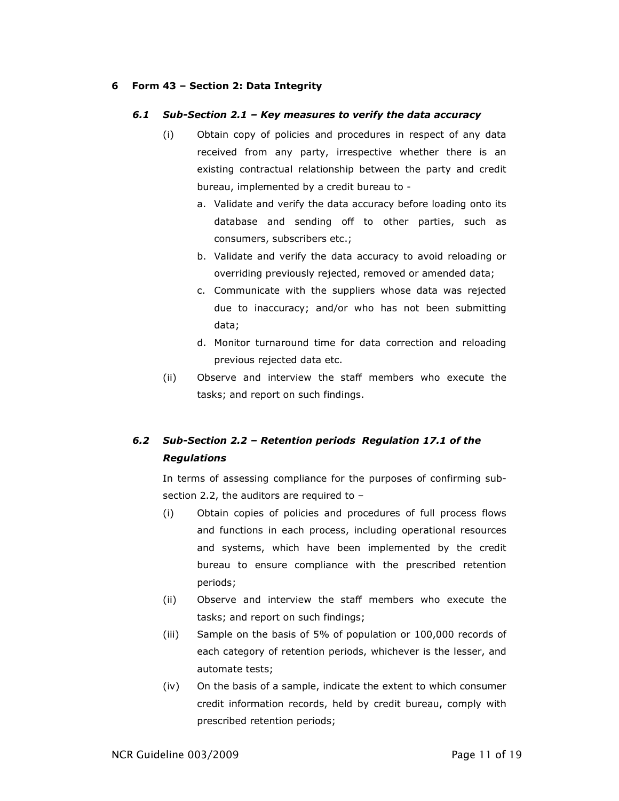#### 6 Form 43 – Section 2: Data Integrity

#### 6.1 Sub-Section 2.1 – Key measures to verify the data accuracy

- (i) Obtain copy of policies and procedures in respect of any data received from any party, irrespective whether there is an existing contractual relationship between the party and credit bureau, implemented by a credit bureau to
	- a. Validate and verify the data accuracy before loading onto its database and sending off to other parties, such as consumers, subscribers etc.;
	- b. Validate and verify the data accuracy to avoid reloading or overriding previously rejected, removed or amended data;
	- c. Communicate with the suppliers whose data was rejected due to inaccuracy; and/or who has not been submitting data;
	- d. Monitor turnaround time for data correction and reloading previous rejected data etc.
- (ii) Observe and interview the staff members who execute the tasks; and report on such findings.

## 6.2 Sub-Section 2.2 – Retention periods Regulation 17.1 of the **Regulations**

In terms of assessing compliance for the purposes of confirming subsection 2.2, the auditors are required to –

- (i) Obtain copies of policies and procedures of full process flows and functions in each process, including operational resources and systems, which have been implemented by the credit bureau to ensure compliance with the prescribed retention periods;
- (ii) Observe and interview the staff members who execute the tasks; and report on such findings;
- (iii) Sample on the basis of 5% of population or 100,000 records of each category of retention periods, whichever is the lesser, and automate tests;
- (iv) On the basis of a sample, indicate the extent to which consumer credit information records, held by credit bureau, comply with prescribed retention periods;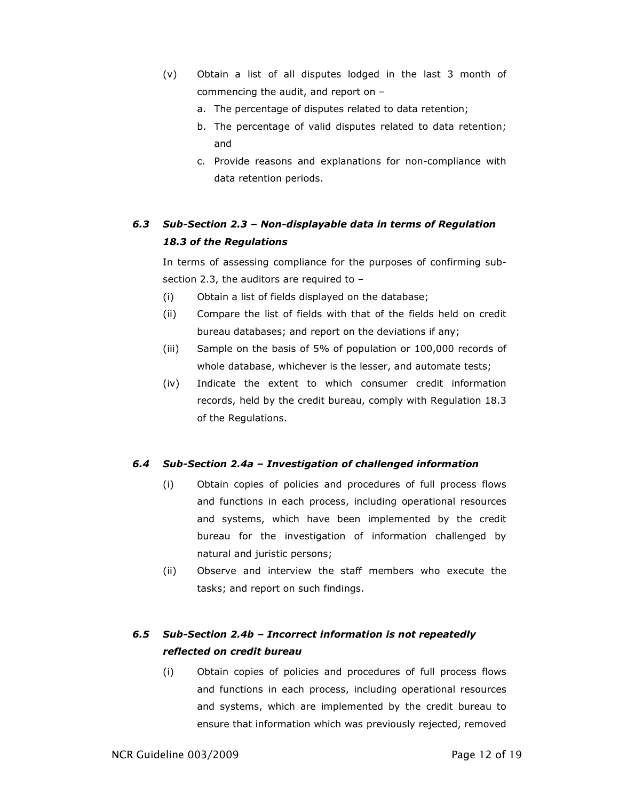- (v) Obtain a list of all disputes lodged in the last 3 month of commencing the audit, and report on –
	- a. The percentage of disputes related to data retention;
	- b. The percentage of valid disputes related to data retention; and
	- c. Provide reasons and explanations for non-compliance with data retention periods.

# 6.3 Sub-Section 2.3 – Non-displayable data in terms of Regulation 18.3 of the Regulations

In terms of assessing compliance for the purposes of confirming subsection 2.3, the auditors are required to –

- (i) Obtain a list of fields displayed on the database;
- (ii) Compare the list of fields with that of the fields held on credit bureau databases; and report on the deviations if any;
- (iii) Sample on the basis of 5% of population or 100,000 records of whole database, whichever is the lesser, and automate tests;
- (iv) Indicate the extent to which consumer credit information records, held by the credit bureau, comply with Regulation 18.3 of the Regulations.

#### 6.4 Sub-Section 2.4a – Investigation of challenged information

- (i) Obtain copies of policies and procedures of full process flows and functions in each process, including operational resources and systems, which have been implemented by the credit bureau for the investigation of information challenged by natural and juristic persons;
- (ii) Observe and interview the staff members who execute the tasks; and report on such findings.

# 6.5 Sub-Section 2.4b – Incorrect information is not repeatedly reflected on credit bureau

(i) Obtain copies of policies and procedures of full process flows and functions in each process, including operational resources and systems, which are implemented by the credit bureau to ensure that information which was previously rejected, removed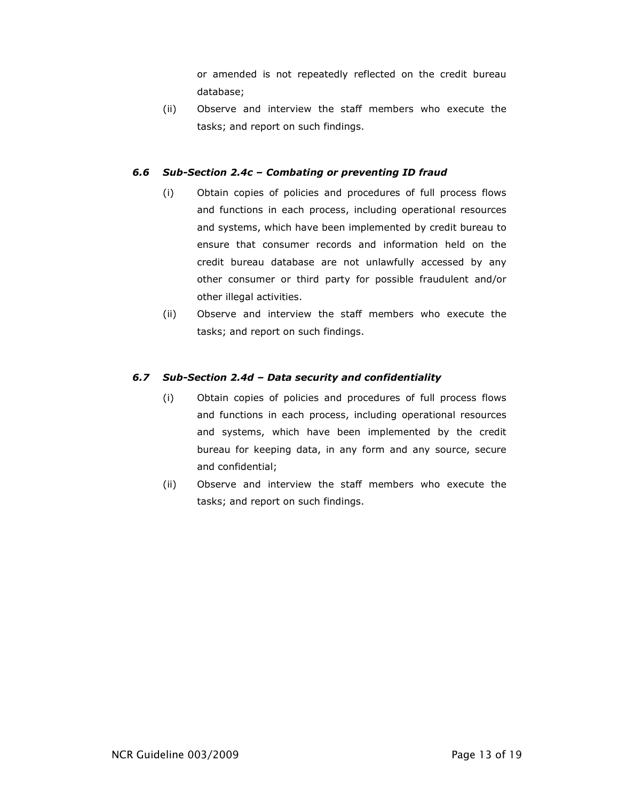or amended is not repeatedly reflected on the credit bureau database;

(ii) Observe and interview the staff members who execute the tasks; and report on such findings.

#### 6.6 Sub-Section 2.4c – Combating or preventing ID fraud

- (i) Obtain copies of policies and procedures of full process flows and functions in each process, including operational resources and systems, which have been implemented by credit bureau to ensure that consumer records and information held on the credit bureau database are not unlawfully accessed by any other consumer or third party for possible fraudulent and/or other illegal activities.
- (ii) Observe and interview the staff members who execute the tasks; and report on such findings.

### 6.7 Sub-Section 2.4d – Data security and confidentiality

- (i) Obtain copies of policies and procedures of full process flows and functions in each process, including operational resources and systems, which have been implemented by the credit bureau for keeping data, in any form and any source, secure and confidential;
- (ii) Observe and interview the staff members who execute the tasks; and report on such findings.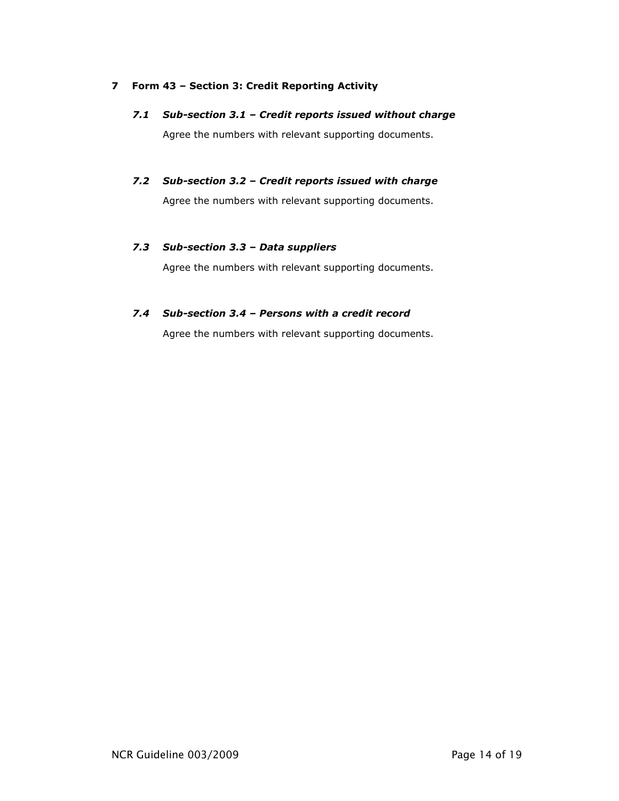#### 7 Form 43 – Section 3: Credit Reporting Activity

- 7.1 Sub-section 3.1 Credit reports issued without charge Agree the numbers with relevant supporting documents.
- 7.2 Sub-section 3.2 Credit reports issued with charge Agree the numbers with relevant supporting documents.

#### 7.3 Sub-section 3.3 – Data suppliers

Agree the numbers with relevant supporting documents.

### 7.4 Sub-section 3.4 – Persons with a credit record

Agree the numbers with relevant supporting documents.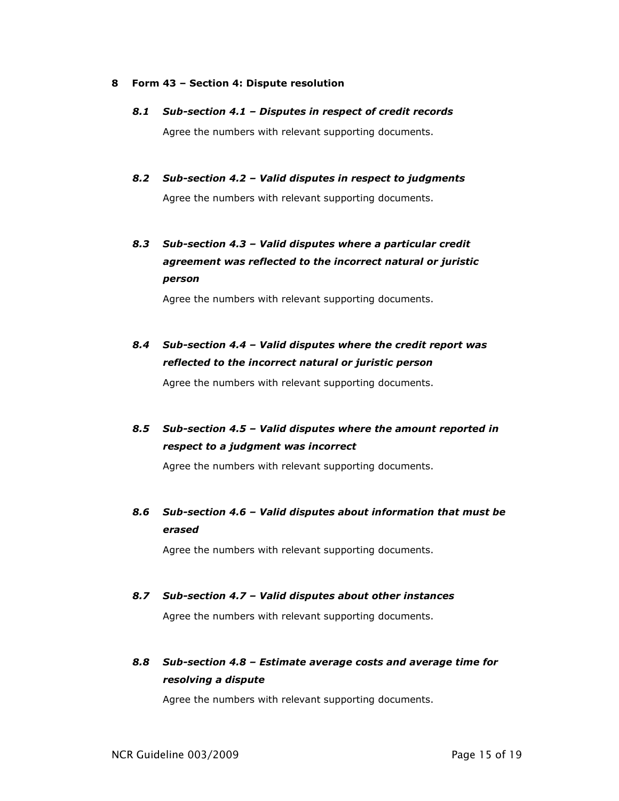#### 8 Form 43 – Section 4: Dispute resolution

8.1 Sub-section 4.1 – Disputes in respect of credit records

Agree the numbers with relevant supporting documents.

8.2 Sub-section 4.2 – Valid disputes in respect to judgments

Agree the numbers with relevant supporting documents.

8.3 Sub-section 4.3 – Valid disputes where a particular credit agreement was reflected to the incorrect natural or juristic person

Agree the numbers with relevant supporting documents.

8.4 Sub-section 4.4 – Valid disputes where the credit report was reflected to the incorrect natural or juristic person

Agree the numbers with relevant supporting documents.

8.5 Sub-section 4.5 – Valid disputes where the amount reported in respect to a judgment was incorrect

Agree the numbers with relevant supporting documents.

8.6 Sub-section 4.6 – Valid disputes about information that must be erased

Agree the numbers with relevant supporting documents.

8.7 Sub-section 4.7 – Valid disputes about other instances

Agree the numbers with relevant supporting documents.

8.8 Sub-section 4.8 – Estimate average costs and average time for resolving a dispute

Agree the numbers with relevant supporting documents.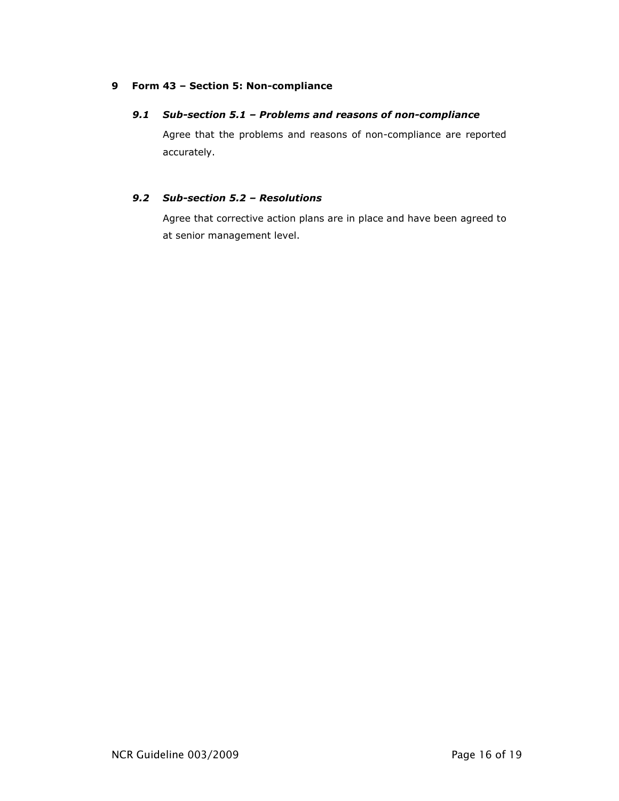#### 9 Form 43 – Section 5: Non-compliance

#### 9.1 Sub-section 5.1 – Problems and reasons of non-compliance

Agree that the problems and reasons of non-compliance are reported accurately.

### 9.2 Sub-section 5.2 – Resolutions

Agree that corrective action plans are in place and have been agreed to at senior management level.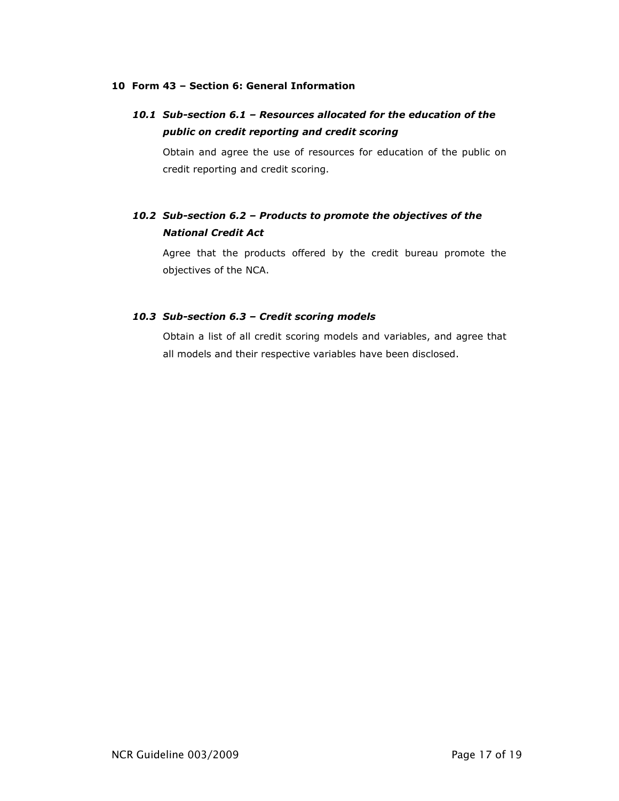#### 10 Form 43 – Section 6: General Information

# 10.1 Sub-section 6.1 – Resources allocated for the education of the public on credit reporting and credit scoring

Obtain and agree the use of resources for education of the public on credit reporting and credit scoring.

# 10.2 Sub-section 6.2 – Products to promote the objectives of the National Credit Act

Agree that the products offered by the credit bureau promote the objectives of the NCA.

#### 10.3 Sub-section 6.3 – Credit scoring models

Obtain a list of all credit scoring models and variables, and agree that all models and their respective variables have been disclosed.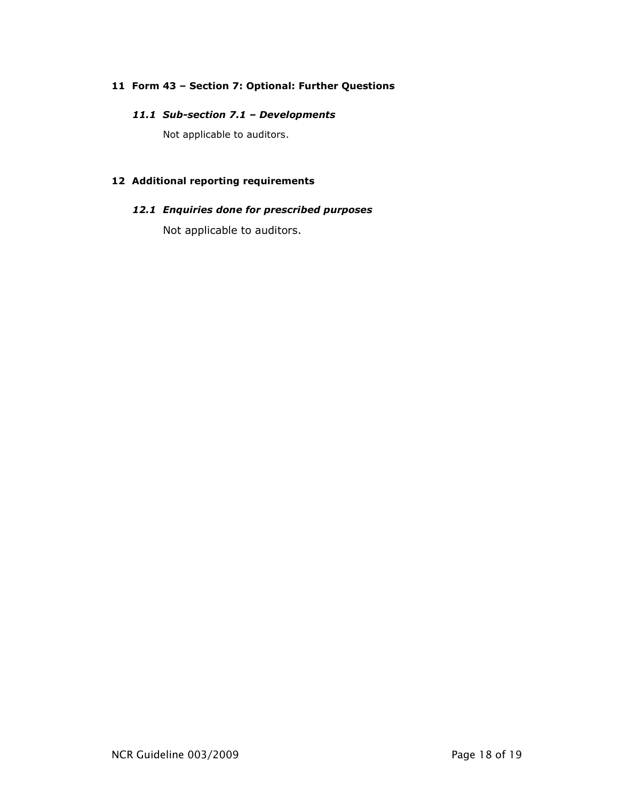#### 11 Form 43 – Section 7: Optional: Further Questions

#### 11.1 Sub-section 7.1 – Developments

Not applicable to auditors.

## 12 Additional reporting requirements

## 12.1 Enquiries done for prescribed purposes

Not applicable to auditors.